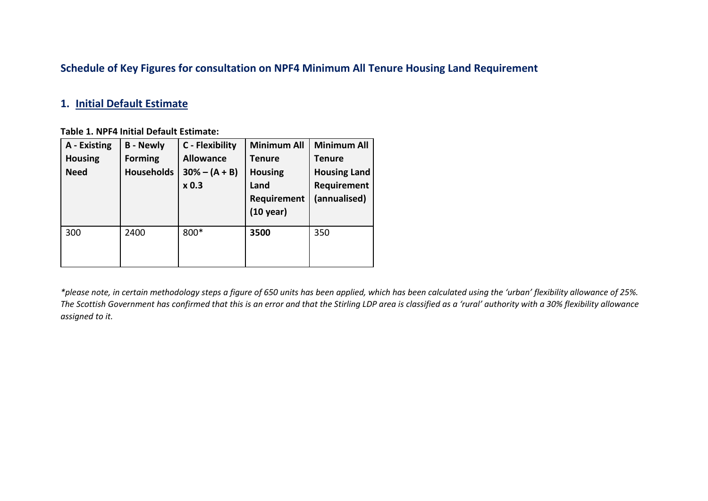## **Schedule of Key Figures for consultation on NPF4 Minimum All Tenure Housing Land Requirement**

#### **1. Initial Default Estimate**

#### **Table 1. NPF4 Initial Default Estimate:**

| A - Existing<br><b>Housing</b><br><b>Need</b> | <b>B</b> - Newly<br><b>Forming</b><br><b>Households</b> | C - Flexibility<br><b>Allowance</b><br>$30% - (A + B)$<br>x 0.3 | <b>Minimum All</b><br><b>Tenure</b><br><b>Housing</b><br>Land<br>Requirement<br>$(10 \text{ year})$ | <b>Minimum All</b><br><b>Tenure</b><br><b>Housing Land</b><br>Requirement<br>(annualised) |
|-----------------------------------------------|---------------------------------------------------------|-----------------------------------------------------------------|-----------------------------------------------------------------------------------------------------|-------------------------------------------------------------------------------------------|
| 300                                           | 2400                                                    | 800*                                                            | 3500                                                                                                | 350                                                                                       |

*\*please note, in certain methodology steps a figure of 650 units has been applied, which has been calculated using the 'urban' flexibility allowance of 25%. The Scottish Government has confirmed that this is an error and that the Stirling LDP area is classified as a 'rural' authority with a 30% flexibility allowance assigned to it.*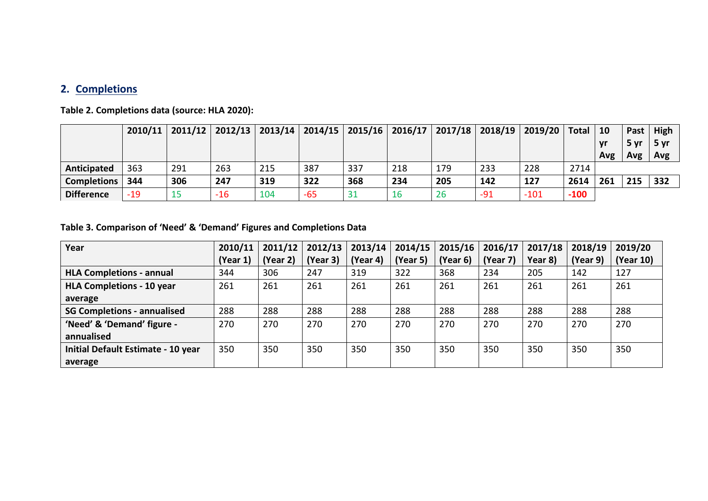## **2. Completions**

**Table 2. Completions data (source: HLA 2020):**

|                    |       | $2010/11$   2011/12   2012/13   2013/14   2014/15   2015/16   2016/17   2017/18 |       |     |       |     |     |     |       | 2018/19   2019/20   Total |        | 10  |      | Past   High |
|--------------------|-------|---------------------------------------------------------------------------------|-------|-----|-------|-----|-----|-----|-------|---------------------------|--------|-----|------|-------------|
|                    |       |                                                                                 |       |     |       |     |     |     |       |                           |        | vr  | 5 yr | 5 yr        |
|                    |       |                                                                                 |       |     |       |     |     |     |       |                           |        | Avg | Avg  | Avg         |
| Anticipated        | 363   | 291                                                                             | 263   | 215 | 387   | 337 | 218 | 179 | 233   | 228                       | 2714   |     |      |             |
| <b>Completions</b> | 344   | 306                                                                             | 247   | 319 | 322   | 368 | 234 | 205 | 142   | 127                       | 2614   | 261 | 215  | 332         |
| <b>Difference</b>  | $-19$ |                                                                                 | $-16$ | 104 | $-65$ | 31  | 16  | 26  | $-91$ | $-101$                    | $-100$ |     |      |             |

**Table 3. Comparison of 'Need' & 'Demand' Figures and Completions Data**

| Year                               | 2010/11  | 2011/12  | 2012/13  | 2013/14  | 2014/15  | 2015/16  | 2016/17  | 2017/18 | 2018/19  | 2019/20   |
|------------------------------------|----------|----------|----------|----------|----------|----------|----------|---------|----------|-----------|
|                                    | (Year 1) | (Year 2) | (Year 3) | (Year 4) | (Year 5) | (Year 6) | (Year 7) | Year 8) | (Year 9) | (Year 10) |
| <b>HLA Completions - annual</b>    | 344      | 306      | 247      | 319      | 322      | 368      | 234      | 205     | 142      | 127       |
| <b>HLA Completions - 10 year</b>   | 261      | 261      | 261      | 261      | 261      | 261      | 261      | 261     | 261      | 261       |
| average                            |          |          |          |          |          |          |          |         |          |           |
| <b>SG Completions - annualised</b> | 288      | 288      | 288      | 288      | 288      | 288      | 288      | 288     | 288      | 288       |
| 'Need' & 'Demand' figure -         | 270      | 270      | 270      | 270      | 270      | 270      | 270      | 270     | 270      | 270       |
| annualised                         |          |          |          |          |          |          |          |         |          |           |
| Initial Default Estimate - 10 year | 350      | 350      | 350      | 350      | 350      | 350      | 350      | 350     | 350      | 350       |
| average                            |          |          |          |          |          |          |          |         |          |           |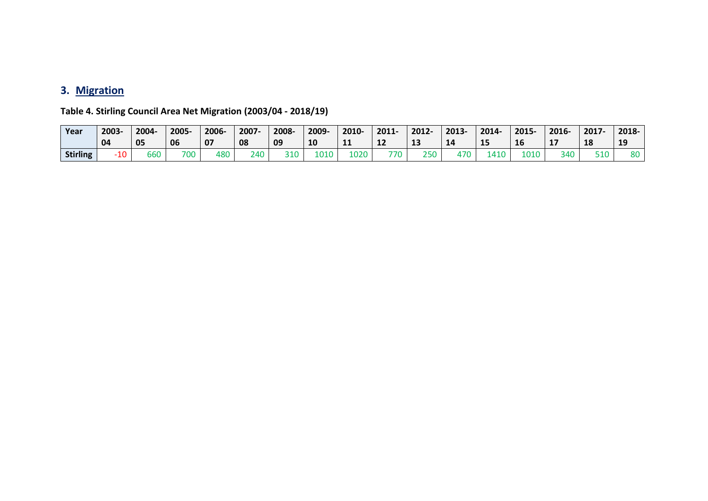# **3. Migration**

| Year            | 2003<br>04 | 2004-<br>05   | 2005<br>06 | 2006-<br>07 | 2007-<br>08 | 2008-<br>09 | 2009-<br>10 | 2010-<br>$\sim$<br>-- | 2011-<br>∸∠ | 2012-<br>13 | 2013-<br>14 | 2014-<br>15 | 2015-<br>16 | 2016-<br>∸ | 2017-<br>18 | 2018-<br>19 |
|-----------------|------------|---------------|------------|-------------|-------------|-------------|-------------|-----------------------|-------------|-------------|-------------|-------------|-------------|------------|-------------|-------------|
| <b>Stirling</b> | 10         | $\sim$<br>טסר | 700        | 480         | ን 40        | 310         | LO10        | 1020                  | 770         | 250         | 470         | 110         | 010ء        | 340        | 510         | 80          |

**Table 4. Stirling Council Area Net Migration (2003/04 - 2018/19)**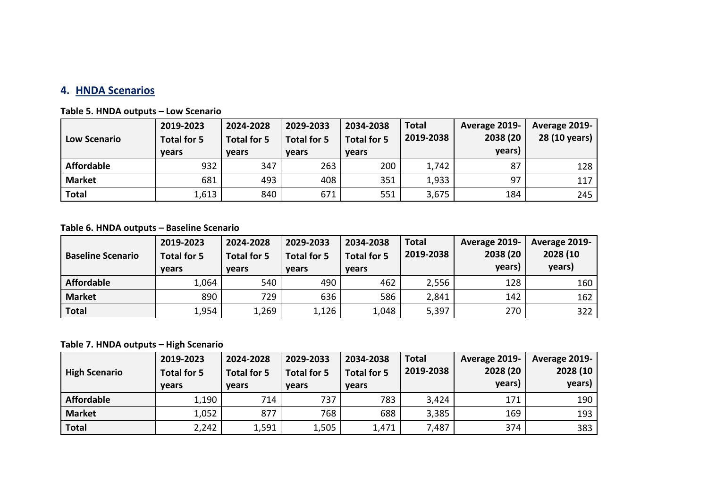## **4. HNDA Scenarios**

| <b>Low Scenario</b> | 2019-2023<br>Total for 5<br><b>vears</b> | 2024-2028<br>Total for 5<br><b>vears</b> | 2029-2033<br>Total for 5<br><b>vears</b> | 2034-2038<br><b>Total for 5</b><br><b>vears</b> | <b>Total</b><br>2019-2038 | Average 2019-<br>2038 (20<br>years) | Average 2019-<br>28 (10 years) |
|---------------------|------------------------------------------|------------------------------------------|------------------------------------------|-------------------------------------------------|---------------------------|-------------------------------------|--------------------------------|
| <b>Affordable</b>   | 932                                      | 347                                      | 263                                      | 200                                             | 1,742                     | 87                                  | 128                            |
| <b>Market</b>       | 681                                      | 493                                      | 408                                      | 351                                             | 1,933                     | 97                                  | 117                            |
| <b>Total</b>        | 1,613                                    | 840                                      | 671                                      | 551                                             | 3,675                     | 184                                 | 245                            |

### **Table 6. HNDA outputs – Baseline Scenario**

| <b>Baseline Scenario</b> | 2019-2023<br>Total for 5<br><b>vears</b> | 2024-2028<br>Total for 5<br><b>vears</b> | 2029-2033<br>Total for 5<br><b>vears</b> | 2034-2038<br>Total for 5<br><b>vears</b> | <b>Total</b><br>2019-2038 | Average 2019-<br>2038 (20<br>years) | Average 2019-<br>2028 (10<br>years) |
|--------------------------|------------------------------------------|------------------------------------------|------------------------------------------|------------------------------------------|---------------------------|-------------------------------------|-------------------------------------|
| <b>Affordable</b>        | 1,064                                    | 540                                      | 490                                      | 462                                      | 2,556                     | 128                                 | 160                                 |
| <b>Market</b>            | 890                                      | 729                                      | 636                                      | 586                                      | 2,841                     | 142                                 | 162                                 |
| <b>Total</b>             | 1,954                                    | 1,269                                    | 1,126                                    | 1,048                                    | 5,397                     | 270                                 | 322                                 |

**Table 7. HNDA outputs – High Scenario**

|                      | 2019-2023                          | 2024-2028                   | 2029-2033                   | 2034-2038                   | <b>Total</b> | Average 2019-      | Average 2019-      |
|----------------------|------------------------------------|-----------------------------|-----------------------------|-----------------------------|--------------|--------------------|--------------------|
| <b>High Scenario</b> | <b>Total for 5</b><br><b>vears</b> | Total for 5<br><b>vears</b> | Total for 5<br><b>vears</b> | Total for 5<br><b>vears</b> | 2019-2038    | 2028 (20<br>years) | 2028 (10<br>years) |
| <b>Affordable</b>    | 1,190                              | 714                         | 737                         | 783                         | 3,424        | 171                | 190                |
| <b>Market</b>        | 1,052                              | 877                         | 768                         | 688                         | 3,385        | 169                | 193                |
| <b>Total</b>         | 2,242                              | 1,591                       | 1,505                       | 1,471                       | 7,487        | 374                | 383                |